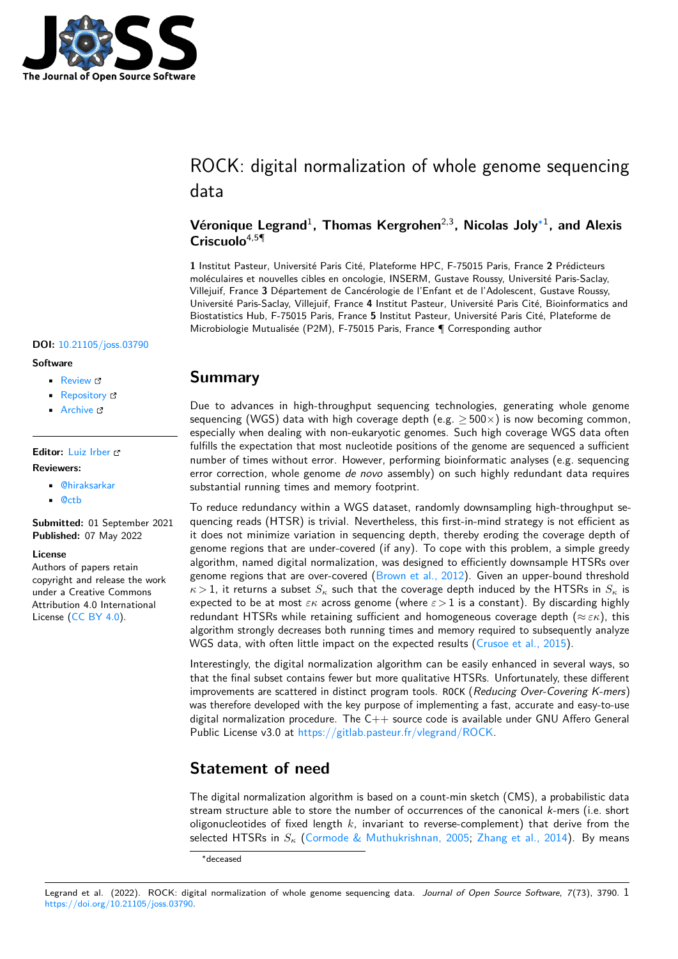

# ROCK: digital normalization of whole genome sequencing data

#### Véronique Legrand<sup>1</sup>, Thomas Kergrohen<sup>2,3</sup>, Nicolas Joly<sup>[∗1](#page-3-0)</sup>, and Alexis **Criscuolo**4,5¶

**1** Institut Pasteur, Université Paris Cité, Plateforme HPC, F-75015 Paris, France **2** Prédicteurs moléculaires et nouvelles cibles en oncologie, INSERM, Gustave Roussy, Université Paris-Saclay, Villejuif, France **3** Département de Cancérologie de l'Enfant et de l'Adolescent, Gustave Roussy, Université Paris-Saclay, Villejuif, France **4** Institut Pasteur, Université Paris Cité, Bioinformatics and Biostatistics Hub, F-75015 Paris, France **5** Institut Pasteur, Université Paris Cité, Plateforme de Microbiologie Mutualisée (P2M), F-75015 Paris, France ¶ Corresponding author

#### **DOI:** [10.21105/joss.03790](https://doi.org/10.21105/joss.03790)

#### **Software**

- [Review](https://github.com/openjournals/joss-reviews/issues/3790) C
- [Repository](https://gitlab.pasteur.fr/vlegrand/ROCK) C
- [Archive](https://doi.org/10.5281/zenodo.6527091) L'

#### **Editor:** [Luiz Irber](https://luizirber.org)

#### **Reviewers:**

- [@hiraksarkar](https://github.com/hiraksarkar)
- [@ctb](https://github.com/ctb)

**Submitted:** 01 September 2021 **Published:** 07 May 2022

#### **License**

Authors of papers retain copyright and release the work under a Creative Commons Attribution 4.0 International License [\(CC BY 4.0\)](https://creativecommons.org/licenses/by/4.0/).

## **Summary**

Due to advances in high-throughput sequencing technologies, generating whole genome sequencing (WGS) data with high coverage depth (e.g.  $\geq$  500 $\times$ ) is now becoming common, especially when dealing with non-eukaryotic genomes. Such high coverage WGS data often fulfills the expectation that most nucleotide positions of the genome are sequenced a sufficient number of times without error. However, performing bioinformatic analyses (e.g. sequencing error correction, whole genome de novo assembly) on such highly redundant data requires substantial running times and memory footprint.

To reduce redundancy within a WGS dataset, randomly downsampling high-throughput sequencing reads (HTSR) is trivial. Nevertheless, this first-in-mind strategy is not efficient as it does not minimize variation in sequencing depth, thereby eroding the coverage depth of genome regions that are under-covered (if any). To cope with this problem, a simple greedy algorithm, named digital normalization, was designed to efficiently downsample HTSRs over genome regions that are over-covered [\(Brown et al., 2012\)](#page-3-1). Given an upper-bound threshold  $\kappa > 1$ , it returns a subset  $S_{\kappa}$  such that the coverage depth induced by the HTSRs in  $S_{\kappa}$  is expected to be at most  $\varepsilon \kappa$  across genome (where  $\varepsilon > 1$  is a constant). By discarding highly redundant HTSRs while retaining sufficient and homogeneous coverage depth ( $\approx \varepsilon \kappa$ ), this algorithm strongly decreases both running times and memory required to subsequently analyze WGS data, with often little impact on the expected results [\(Crusoe et al., 2015\)](#page-3-2).

Interestingly, the digital normalization algorithm can be easily enhanced in several ways, so that the final subset contains fewer but more qualitative HTSRs. Unfortunately, these different improvements are scattered in distinct program tools. ROCK (Reducing Over-Covering K-mers) was therefore developed with the key purpose of implementing a fast, accurate and easy-to-use digital normalization procedure. The  $C_{++}$  source code is available under GNU Affero General Public License v3.0 at [https://gitlab.pasteur.fr/vlegrand/ROCK.](https://gitlab.pasteur.fr/vlegrand/ROCK)

## **Statement of need**

The digital normalization algorithm is based on a count-min sketch (CMS), a probabilistic data stream structure able to store the number of occurrences of the canonical k-mers (i.e. short oligonucleotides of fixed length  $k$ , invariant to reverse-complement) that derive from the selected HTSRs in  $S_{\kappa}$  [\(Cormode & Muthukrishnan, 2005;](#page-3-3) [Zhang et al., 2014\)](#page-3-4). By means

<sup>∗</sup>deceased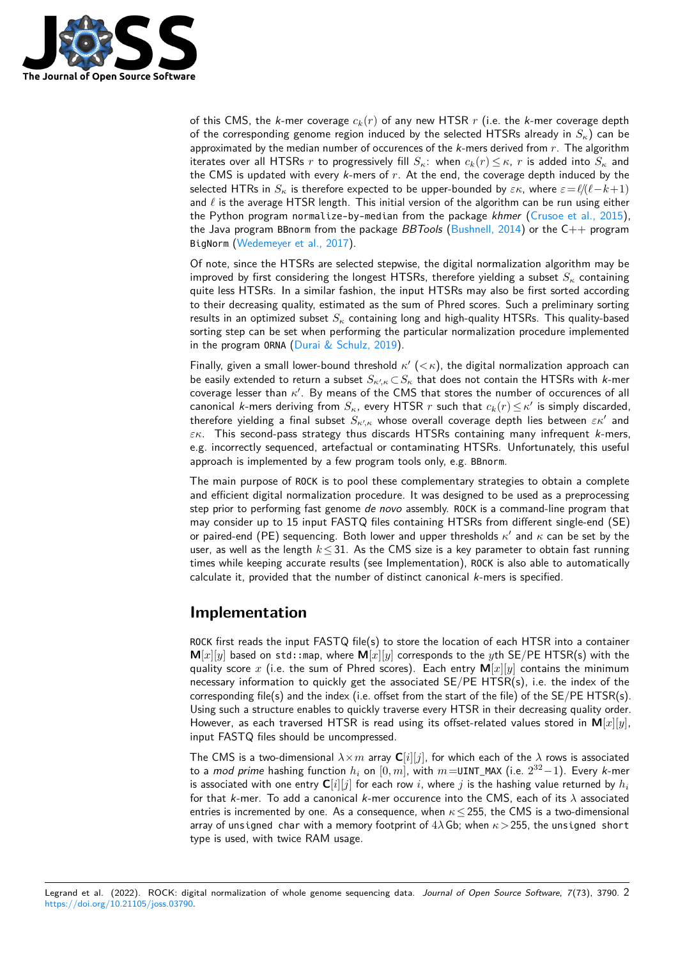

of this CMS, the k-mer coverage  $c_k(r)$  of any new HTSR r (i.e. the k-mer coverage depth of the corresponding genome region induced by the selected HTSRs already in  $S_{\kappa}$ ) can be approximated by the median number of occurences of the  $k$ -mers derived from  $r$ . The algorithm iterates over all HTSRs r to progressively fill  $S_{\kappa}$ : when  $c_k(r) \leq \kappa$ , r is added into  $S_{\kappa}$  and the CMS is updated with every  $k$ -mers of  $r$ . At the end, the coverage depth induced by the selected HTRs in  $S_k$  is therefore expected to be upper-bounded by  $\varepsilon \kappa$ , where  $\varepsilon = \ell/(\ell-k+1)$ and  $\ell$  is the average HTSR length. This initial version of the algorithm can be run using either the Python program normalize-by-median from the package khmer [\(Crusoe et al., 2015\)](#page-3-2), the Java program BBnorm from the package *BBTools* [\(Bushnell, 2014\)](#page-3-5) or the  $C++$  program BigNorm [\(Wedemeyer et al., 2017\)](#page-3-6).

Of note, since the HTSRs are selected stepwise, the digital normalization algorithm may be improved by first considering the longest HTSRs, therefore yielding a subset  $S_{\kappa}$  containing quite less HTSRs. In a similar fashion, the input HTSRs may also be first sorted according to their decreasing quality, estimated as the sum of Phred scores. Such a preliminary sorting results in an optimized subset  $S_{\kappa}$  containing long and high-quality HTSRs. This quality-based sorting step can be set when performing the particular normalization procedure implemented in the program ORNA [\(Durai & Schulz, 2019\)](#page-3-7).

Finally, given a small lower-bound threshold  $\kappa'$  ( $<\kappa$ ), the digital normalization approach can be easily extended to return a subset  $S_{\kappa',\kappa}\!\subset\!S_\kappa$  that does not contain the HTSRs with  $k$ -mer coverage lesser than  $\kappa'$ . By means of the CMS that stores the number of occurences of all canonical k-mers deriving from  $S_\kappa$ , every HTSR  $r$  such that  $c_k(r)\!\leq\!\kappa'$  is simply discarded, therefore yielding a final subset  $S_{\kappa',\kappa}$  whose overall coverage depth lies between  $\varepsilon\kappa'$  and  $\varepsilon$ K. This second-pass strategy thus discards HTSRs containing many infrequent *k*-mers, e.g. incorrectly sequenced, artefactual or contaminating HTSRs. Unfortunately, this useful approach is implemented by a few program tools only, e.g. BBnorm.

The main purpose of ROCK is to pool these complementary strategies to obtain a complete and efficient digital normalization procedure. It was designed to be used as a preprocessing step prior to performing fast genome de novo assembly. ROCK is a command-line program that may consider up to 15 input FASTQ files containing HTSRs from different single-end (SE) or paired-end (PE) sequencing. Both lower and upper thresholds  $\kappa'$  and  $\kappa$  can be set by the user, as well as the length  $k \leq 31$ . As the CMS size is a key parameter to obtain fast running times while keeping accurate results (see Implementation), ROCK is also able to automatically calculate it, provided that the number of distinct canonical k-mers is specified.

#### **Implementation**

ROCK first reads the input FASTQ file(s) to store the location of each HTSR into a container  $M[x][y]$  based on std::map, where  $M[x][y]$  corresponds to the yth SE/PE HTSR(s) with the quality score x (i.e. the sum of Phred scores). Each entry  $M[x][y]$  contains the minimum necessary information to quickly get the associated SE/PE HTSR(s), i.e. the index of the corresponding file(s) and the index (i.e. offset from the start of the file) of the  $SE/PE HTSR(s)$ . Using such a structure enables to quickly traverse every HTSR in their decreasing quality order. However, as each traversed HTSR is read using its offset-related values stored in  $M[x][y]$ , input FASTQ files should be uncompressed.

The CMS is a two-dimensional  $\lambda \times m$  array  $\mathbb{C}[i][j]$ , for which each of the  $\lambda$  rows is associated to a *mod prime* hashing function  $h_i$  on  $[0,m]$ , with  $m=$ UINT\_MAX (i.e.  $2^{32}\!-\!1)$ . Every *k*-mer is associated with one entry  $\mathbf{C}[i][j]$  for each row i, where j is the hashing value returned by  $h_i$ for that k-mer. To add a canonical k-mer occurence into the CMS, each of its  $\lambda$  associated entries is incremented by one. As a consequence, when  $\kappa \le 255$ , the CMS is a two-dimensional array of unsigned char with a memory footprint of  $4\lambda$  Gb; when  $\kappa$  > 255, the unsigned short type is used, with twice RAM usage.

Legrand et al. (2022). ROCK: digital normalization of whole genome sequencing data. Journal of Open Source Software, 7(73), 3790. 2 [https://doi.org/10.21105/joss.03790.](https://doi.org/10.21105/joss.03790)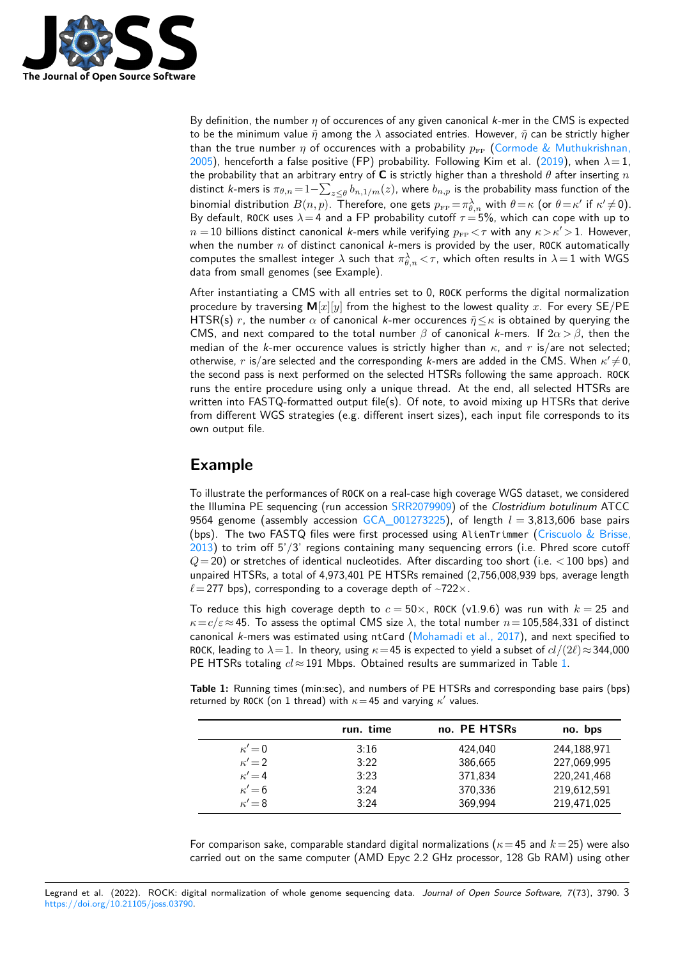

By definition, the number  $\eta$  of occurences of any given canonical k-mer in the CMS is expected to be the minimum value  $\tilde{\eta}$  among the  $\lambda$  associated entries. However,  $\tilde{\eta}$  can be strictly higher than the true number  $\eta$  of occurences with a probability  $p_{FP}$  [\(Cormode & Muthukrishnan,](#page-3-3) [2005\)](#page-3-3), henceforth a false positive (FP) probability. Following Kim et al. [\(2019\)](#page-3-8), when  $\lambda = 1$ , the probability that an arbitrary entry of **C** is strictly higher than a threshold  $\theta$  after inserting n distinct *k*-mers is  $\pi_{\theta,n} \!=\! 1 {-} \sum_{z\leq \theta} b_{n,1/m}(z)$ , where  $b_{n,p}$  is the probability mass function of the binomial distribution  $B(n,p)$ . Therefore, one gets  $p_{\text{\tiny FP}}\!=\!\pi^\lambda_{\theta,n}$  with  $\theta\!=\!\kappa$  (or  $\theta\!=\!\kappa'$  if  $\kappa'\!\neq\!0)$ . By default, ROCK uses  $\lambda = 4$  and a FP probability cutoff  $\tau = 5\%$ , which can cope with up to  $n = 10$  billions distinct canonical k-mers while verifying  $p_{\text{FP}} < \tau$  with any  $\kappa > \kappa' > 1$ . However, when the number  $n$  of distinct canonical  $k$ -mers is provided by the user, ROCK automatically computes the smallest integer  $\lambda$  such that  $\pi_{\theta,n}^{\lambda}<\tau,$  which often results in  $\lambda\!=\!1$  with WGS data from small genomes (see Example).

After instantiating a CMS with all entries set to 0, ROCK performs the digital normalization procedure by traversing  $M[x][y]$  from the highest to the lowest quality x. For every SE/PE HTSR(s) r, the number  $\alpha$  of canonical k-mer occurences  $\tilde{\eta} \leq \kappa$  is obtained by querying the CMS, and next compared to the total number  $\beta$  of canonical k-mers. If  $2\alpha > \beta$ , then the median of the k-mer occurence values is strictly higher than  $\kappa$ , and r is/are not selected; otherwise,  $r$  is/are selected and the corresponding k-mers are added in the CMS. When  $\kappa' \neq 0$ , the second pass is next performed on the selected HTSRs following the same approach. ROCK runs the entire procedure using only a unique thread. At the end, all selected HTSRs are written into FASTQ-formatted output file(s). Of note, to avoid mixing up HTSRs that derive from different WGS strategies (e.g. different insert sizes), each input file corresponds to its own output file.

# **Example**

To illustrate the performances of ROCK on a real-case high coverage WGS dataset, we considered the Illumina PE sequencing (run accession [SRR2079909\)](https://www.ebi.ac.uk/ena/browser/view/SRR2079909) of the Clostridium botulinum ATCC 9564 genome (assembly accession GCA  $0.01273225$ ), of length  $l = 3.813,606$  base pairs (bps). The two FASTQ files were first processed using AlienTrimmer [\(Criscuolo & Brisse,](#page-3-9) [2013\)](#page-3-9) to trim off 5'/3' regions containing many sequencing errors (i.e. Phred score cutoff  $Q= 20$ ) or stretches of identical nucleotides. After discarding too short (i.e.  $< 100$  bps) and unpaired HTSRs, a total of 4,973,401 PE HTSRs remained (2,756,008,939 bps, average length  $\ell = 277$  bps), corresponding to a coverage depth of ~722 $\times$ .

To reduce this high coverage depth to  $c = 50 \times$ , ROCK (v1.9.6) was run with  $k = 25$  and  $\kappa = c/\varepsilon \approx 45$ . To assess the optimal CMS size  $\lambda$ , the total number  $n= 105,584,331$  of distinct canonical k-mers was estimated using ntCard (Mohamadi et al.,  $2017$ ), and next specified to ROCK, leading to  $\lambda = 1$ . In theory, using  $\kappa = 45$  is expected to yield a subset of  $cl/(2\ell) \approx 344,000$ PE HTSRs totaling  $cl \approx 191$  Mbps. Obtained results are summarized in Table [1.](#page-2-0)

<span id="page-2-0"></span>**Table 1:** Running times (min:sec), and numbers of PE HTSRs and corresponding base pairs (bps) returned by ROCK (on 1 thread) with  $\kappa = 45$  and varying  $\kappa'$  values.

|               | run. time | no. PE HTSRs | no. bps     |
|---------------|-----------|--------------|-------------|
| $\kappa'$ = 0 | 3:16      | 424,040      | 244,188,971 |
| $\kappa' = 2$ | 3:22      | 386,665      | 227,069,995 |
| $\kappa' = 4$ | 3:23      | 371,834      | 220,241,468 |
| $\kappa' = 6$ | 3:24      | 370,336      | 219,612,591 |
| $\kappa' = 8$ | 3:24      | 369.994      | 219,471,025 |

For comparison sake, comparable standard digital normalizations ( $\kappa$  = 45 and  $k$  = 25) were also carried out on the same computer (AMD Epyc 2.2 GHz processor, 128 Gb RAM) using other